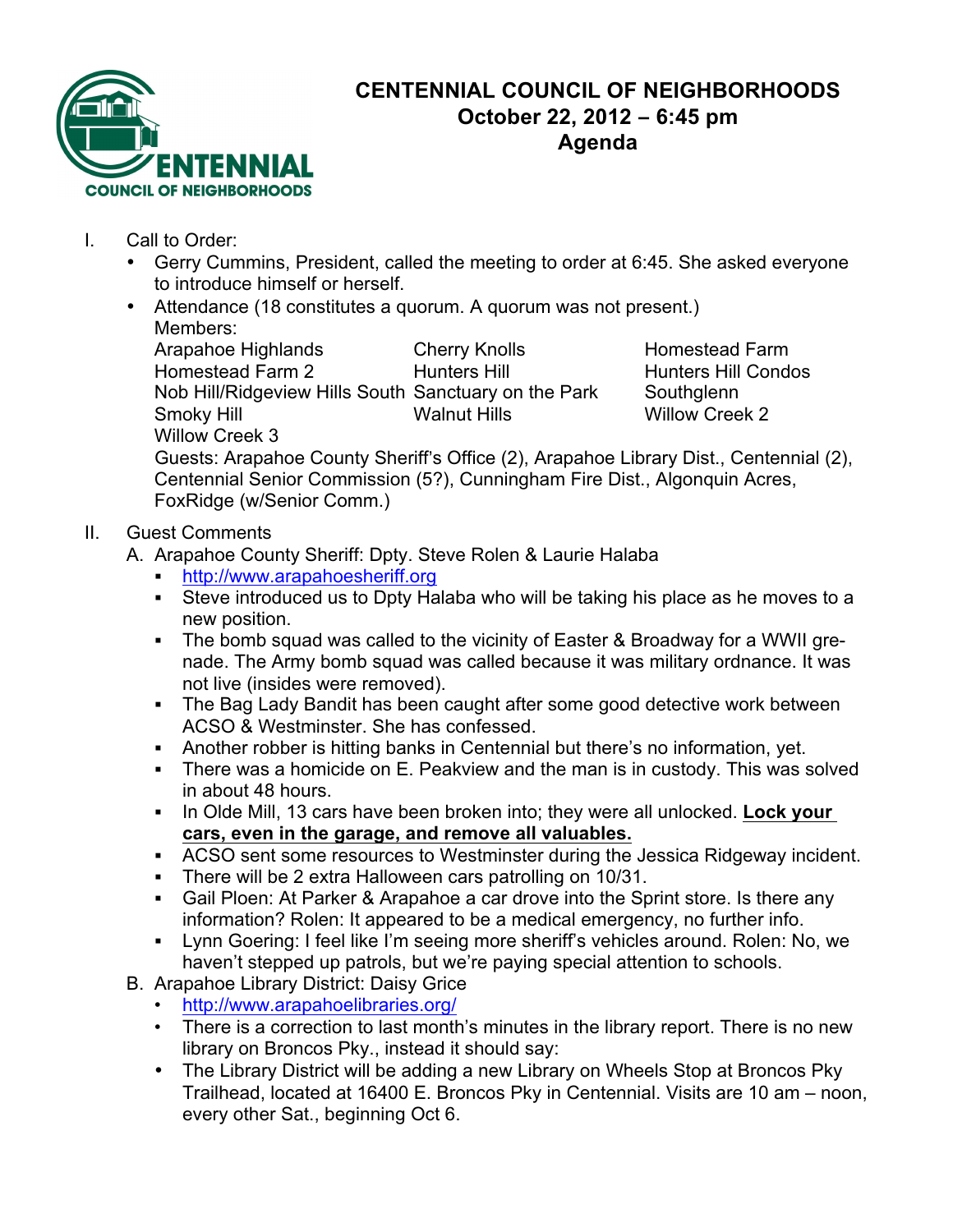

## **CENTENNIAL COUNCIL OF NEIGHBORHOODS October 22, 2012 – 6:45 pm Agenda**

- I. Call to Order:
	- Gerry Cummins, President, called the meeting to order at 6:45. She asked everyone to introduce himself or herself.
	- Attendance (18 constitutes a quorum. A quorum was not present.) Members:

Arapahoe Highlands Cherry Knolls Homestead Farm Homestead Farm 2 Thunters Hill Thunters Hill Hunters Hill Condos Nob Hill/Ridgeview Hills South Sanctuary on the Park Southglenn Smoky Hill **Smoky Hill** Walnut Hills Willow Creek 2 Willow Creek 3

Guests: Arapahoe County Sheriff's Office (2), Arapahoe Library Dist., Centennial (2), Centennial Senior Commission (5?), Cunningham Fire Dist., Algonquin Acres, FoxRidge (w/Senior Comm.)

## II. Guest Comments

- A. Arapahoe County Sheriff: Dpty. Steve Rolen & Laurie Halaba
	- ! http://www.arapahoesheriff.org
	- ! Steve introduced us to Dpty Halaba who will be taking his place as he moves to a new position.
	- ! The bomb squad was called to the vicinity of Easter & Broadway for a WWII grenade. The Army bomb squad was called because it was military ordnance. It was not live (insides were removed).
	- **The Bag Lady Bandit has been caught after some good detective work between** ACSO & Westminster. She has confessed.
	- ! Another robber is hitting banks in Centennial but there's no information, yet.
	- ! There was a homicide on E. Peakview and the man is in custody. This was solved in about 48 hours.
	- ! In Olde Mill, 13 cars have been broken into; they were all unlocked. **Lock your cars, even in the garage, and remove all valuables.**
	- . ACSO sent some resources to Westminster during the Jessica Ridgeway incident.
	- ! There will be 2 extra Halloween cars patrolling on 10/31.
	- ! Gail Ploen: At Parker & Arapahoe a car drove into the Sprint store. Is there any information? Rolen: It appeared to be a medical emergency, no further info.
	- ! Lynn Goering: I feel like I'm seeing more sheriff's vehicles around. Rolen: No, we haven't stepped up patrols, but we're paying special attention to schools.
- B. Arapahoe Library District: Daisy Grice
	- http://www.arapahoelibraries.org/
	- There is a correction to last month's minutes in the library report. There is no new library on Broncos Pky., instead it should say:
	- The Library District will be adding a new Library on Wheels Stop at Broncos Pky Trailhead, located at 16400 E. Broncos Pky in Centennial. Visits are 10 am – noon, every other Sat., beginning Oct 6.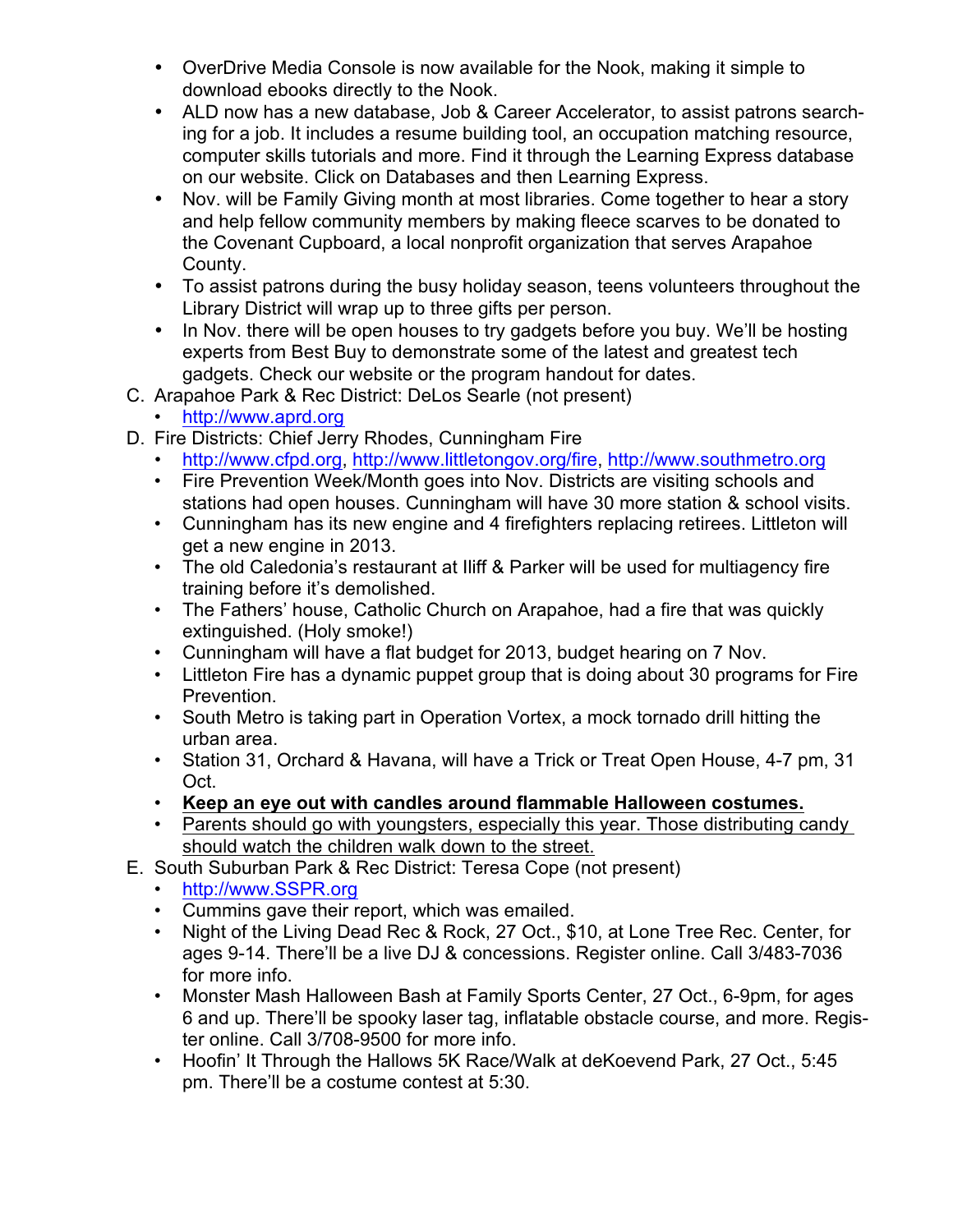- OverDrive Media Console is now available for the Nook, making it simple to download ebooks directly to the Nook.
- ALD now has a new database, Job & Career Accelerator, to assist patrons searching for a job. It includes a resume building tool, an occupation matching resource, computer skills tutorials and more. Find it through the Learning Express database on our website. Click on Databases and then Learning Express.
- Nov. will be Family Giving month at most libraries. Come together to hear a story and help fellow community members by making fleece scarves to be donated to the Covenant Cupboard, a local nonprofit organization that serves Arapahoe County.
- To assist patrons during the busy holiday season, teens volunteers throughout the Library District will wrap up to three gifts per person.
- In Nov. there will be open houses to try gadgets before you buy. We'll be hosting experts from Best Buy to demonstrate some of the latest and greatest tech gadgets. Check our website or the program handout for dates.
- C. Arapahoe Park & Rec District: DeLos Searle (not present)
	- http://www.aprd.org
- D. Fire Districts: Chief Jerry Rhodes, Cunningham Fire
	- http://www.cfpd.org, http://www.littletongov.org/fire, http://www.southmetro.org
	- Fire Prevention Week/Month goes into Nov. Districts are visiting schools and stations had open houses. Cunningham will have 30 more station & school visits.
	- Cunningham has its new engine and 4 firefighters replacing retirees. Littleton will get a new engine in 2013.
	- The old Caledonia's restaurant at Iliff & Parker will be used for multiagency fire training before it's demolished.
	- The Fathers' house, Catholic Church on Arapahoe, had a fire that was quickly extinguished. (Holy smoke!)
	- Cunningham will have a flat budget for 2013, budget hearing on 7 Nov.
	- Littleton Fire has a dynamic puppet group that is doing about 30 programs for Fire Prevention.
	- South Metro is taking part in Operation Vortex, a mock tornado drill hitting the urban area.
	- Station 31, Orchard & Havana, will have a Trick or Treat Open House, 4-7 pm, 31 Oct.
	- **Keep an eye out with candles around flammable Halloween costumes.**
	- Parents should go with youngsters, especially this year. Those distributing candy should watch the children walk down to the street.
- E. South Suburban Park & Rec District: Teresa Cope (not present)
	- http://www.SSPR.org
	- Cummins gave their report, which was emailed.
	- Night of the Living Dead Rec & Rock, 27 Oct., \$10, at Lone Tree Rec. Center, for ages 9-14. There'll be a live DJ & concessions. Register online. Call 3/483-7036 for more info.
	- Monster Mash Halloween Bash at Family Sports Center, 27 Oct., 6-9pm, for ages 6 and up. There'll be spooky laser tag, inflatable obstacle course, and more. Register online. Call 3/708-9500 for more info.
	- Hoofin' It Through the Hallows 5K Race/Walk at deKoevend Park, 27 Oct., 5:45 pm. There'll be a costume contest at 5:30.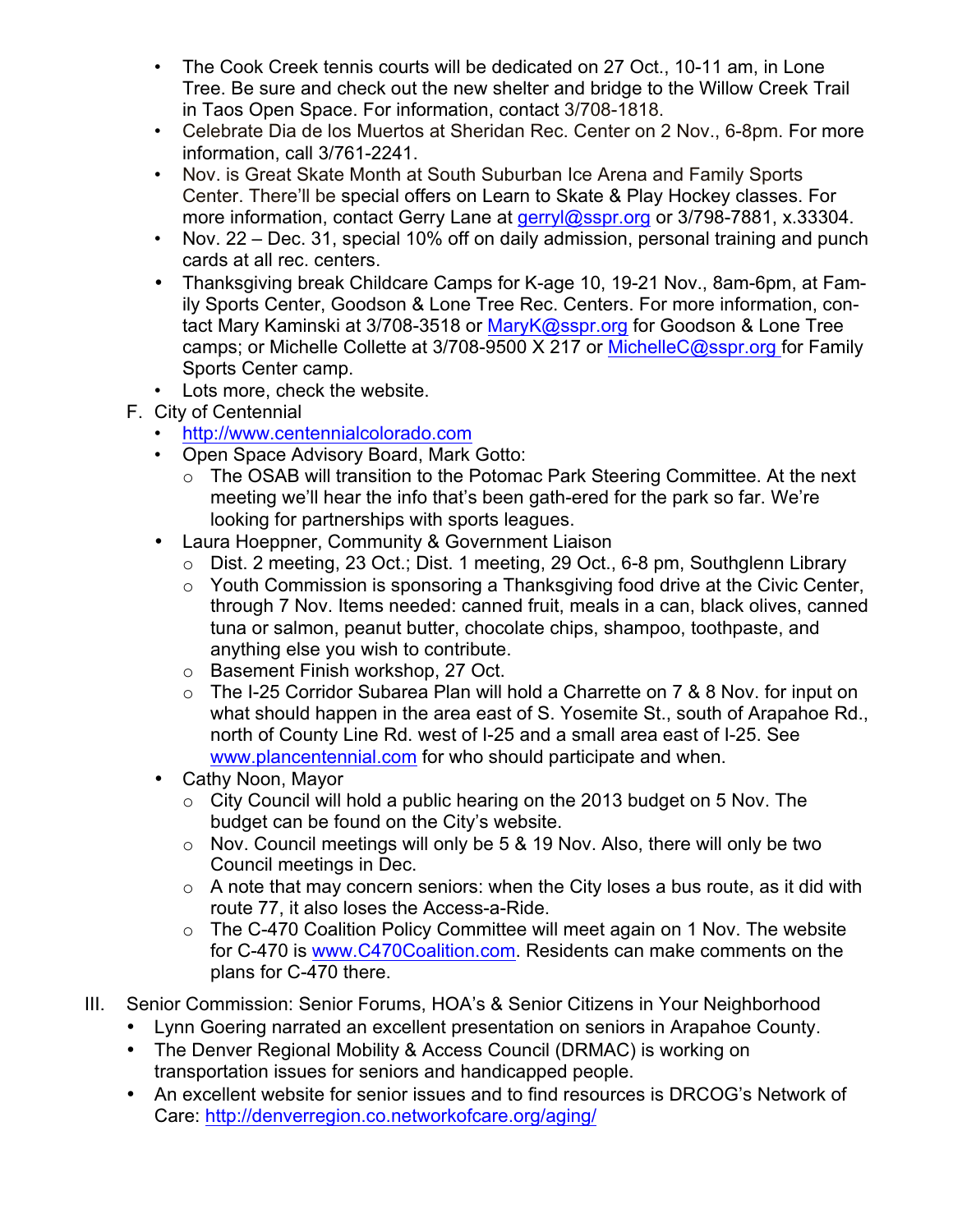- The Cook Creek tennis courts will be dedicated on 27 Oct., 10-11 am, in Lone Tree. Be sure and check out the new shelter and bridge to the Willow Creek Trail in Taos Open Space. For information, contact 3/708-1818.
- Celebrate Dia de los Muertos at Sheridan Rec. Center on 2 Nov., 6-8pm. For more information, call 3/761-2241.
- Nov. is Great Skate Month at South Suburban Ice Arena and Family Sports Center. There'll be special offers on Learn to Skate & Play Hockey classes. For more information, contact Gerry Lane at gerryl@sspr.org or 3/798-7881, x.33304.
- Nov. 22 Dec. 31, special 10% off on daily admission, personal training and punch cards at all rec. centers.
- Thanksgiving break Childcare Camps for K-age 10, 19-21 Nov., 8am-6pm, at Family Sports Center, Goodson & Lone Tree Rec. Centers. For more information, contact Mary Kaminski at 3/708-3518 or MaryK@sspr.org for Goodson & Lone Tree camps; or Michelle Collette at 3/708-9500 X 217 or MichelleC@sspr.org for Family Sports Center camp.
- Lots more, check the website.
- F. City of Centennial
	- http://www.centennialcolorado.com
	- Open Space Advisory Board, Mark Gotto:
		- o The OSAB will transition to the Potomac Park Steering Committee. At the next meeting we'll hear the info that's been gath-ered for the park so far. We're looking for partnerships with sports leagues.
	- Laura Hoeppner, Community & Government Liaison
		- o Dist. 2 meeting, 23 Oct.; Dist. 1 meeting, 29 Oct., 6-8 pm, Southglenn Library
		- o Youth Commission is sponsoring a Thanksgiving food drive at the Civic Center, through 7 Nov. Items needed: canned fruit, meals in a can, black olives, canned tuna or salmon, peanut butter, chocolate chips, shampoo, toothpaste, and anything else you wish to contribute.
		- o Basement Finish workshop, 27 Oct.
		- o The I-25 Corridor Subarea Plan will hold a Charrette on 7 & 8 Nov. for input on what should happen in the area east of S. Yosemite St., south of Arapahoe Rd., north of County Line Rd. west of I-25 and a small area east of I-25. See www.plancentennial.com for who should participate and when.
	- Cathy Noon, Mayor
		- o City Council will hold a public hearing on the 2013 budget on 5 Nov. The budget can be found on the City's website.
		- $\circ$  Nov. Council meetings will only be 5 & 19 Nov. Also, there will only be two Council meetings in Dec.
		- $\circ$  A note that may concern seniors: when the City loses a bus route, as it did with route 77, it also loses the Access-a-Ride.
		- o The C-470 Coalition Policy Committee will meet again on 1 Nov. The website for C-470 is www.C470Coalition.com. Residents can make comments on the plans for C-470 there.
- III. Senior Commission: Senior Forums, HOA's & Senior Citizens in Your Neighborhood
	- Lynn Goering narrated an excellent presentation on seniors in Arapahoe County.
	- The Denver Regional Mobility & Access Council (DRMAC) is working on transportation issues for seniors and handicapped people.
	- An excellent website for senior issues and to find resources is DRCOG's Network of Care: http://denverregion.co.networkofcare.org/aging/